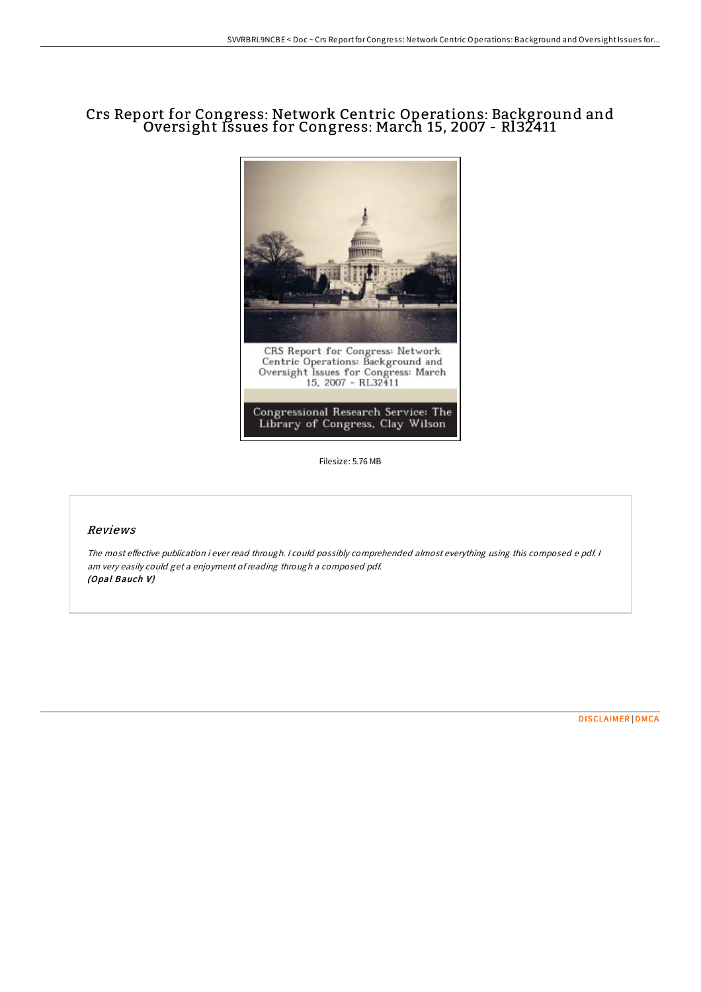# Crs Report for Congress: Network Centric Operations: Background and Oversight Issues for Congress: March 15, 2007 - Rl32411



Filesize: 5.76 MB

#### Reviews

The most effective publication i ever read through. I could possibly comprehended almost everything using this composed e pdf. I am very easily could get <sup>a</sup> enjoyment ofreading through <sup>a</sup> composed pdf. (Opal Bauch V)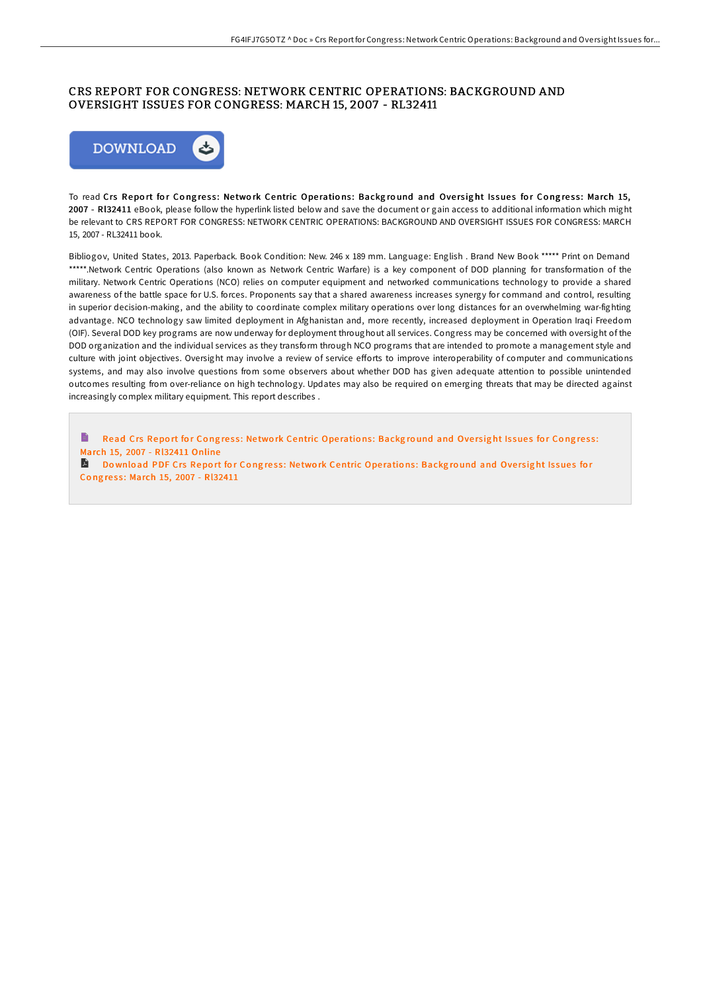### CRS REPORT FOR CONGRESS: NETWORK CENTRIC OPERATIONS: BACKGROUND AND OVERSIGHT ISSUES FOR CONGRESS: MARCH 15, 2007 - RL32411



To read Crs Report for Congress: Network Centric Operations: Background and Oversight Issues for Congress: March 15, 2007 - Rl32411 eBook, please follow the hyperlink listed below and save the document or gain access to additional information which might be relevant to CRS REPORT FOR CONGRESS: NETWORK CENTRIC OPERATIONS: BACKGROUND AND OVERSIGHT ISSUES FOR CONGRESS: MARCH 15, 2007 - RL32411 book.

Bibliogov, United States, 2013. Paperback. Book Condition: New. 246 x 189 mm. Language: English . Brand New Book \*\*\*\*\* Print on Demand \*\*\*\*\*.Network Centric Operations (also known as Network Centric Warfare) is a key component of DOD planning for transformation of the military. Network Centric Operations (NCO) relies on computer equipment and networked communications technology to provide a shared awareness of the battle space for U.S. forces. Proponents say that a shared awareness increases synergy for command and control, resulting in superior decision-making, and the ability to coordinate complex military operations over long distances for an overwhelming war-fighting advantage. NCO technology saw limited deployment in Afghanistan and, more recently, increased deployment in Operation Iraqi Freedom (OIF). Several DOD key programs are now underway for deployment throughout all services. Congress may be concerned with oversight of the DOD organization and the individual services as they transform through NCO programs that are intended to promote a management style and culture with joint objectives. Oversight may involve a review of service efforts to improve interoperability of computer and communications systems, and may also involve questions from some observers about whether DOD has given adequate attention to possible unintended outcomes resulting from over-reliance on high technology. Updates may also be required on emerging threats that may be directed against increasingly complex military equipment. This report describes .

B Read Crs Report for Congress: Network Centric Operations: Background and Oversight Issues for Congress: March 15, 2007 - [Rl32411](http://almighty24.tech/crs-report-for-congress-network-centric-operatio.html) Online

Download PDF Crs Report for Congress: Network Centric Operations: Background and Oversight Issues for Congress: March 15, 2007 - [Rl32411](http://almighty24.tech/crs-report-for-congress-network-centric-operatio.html)